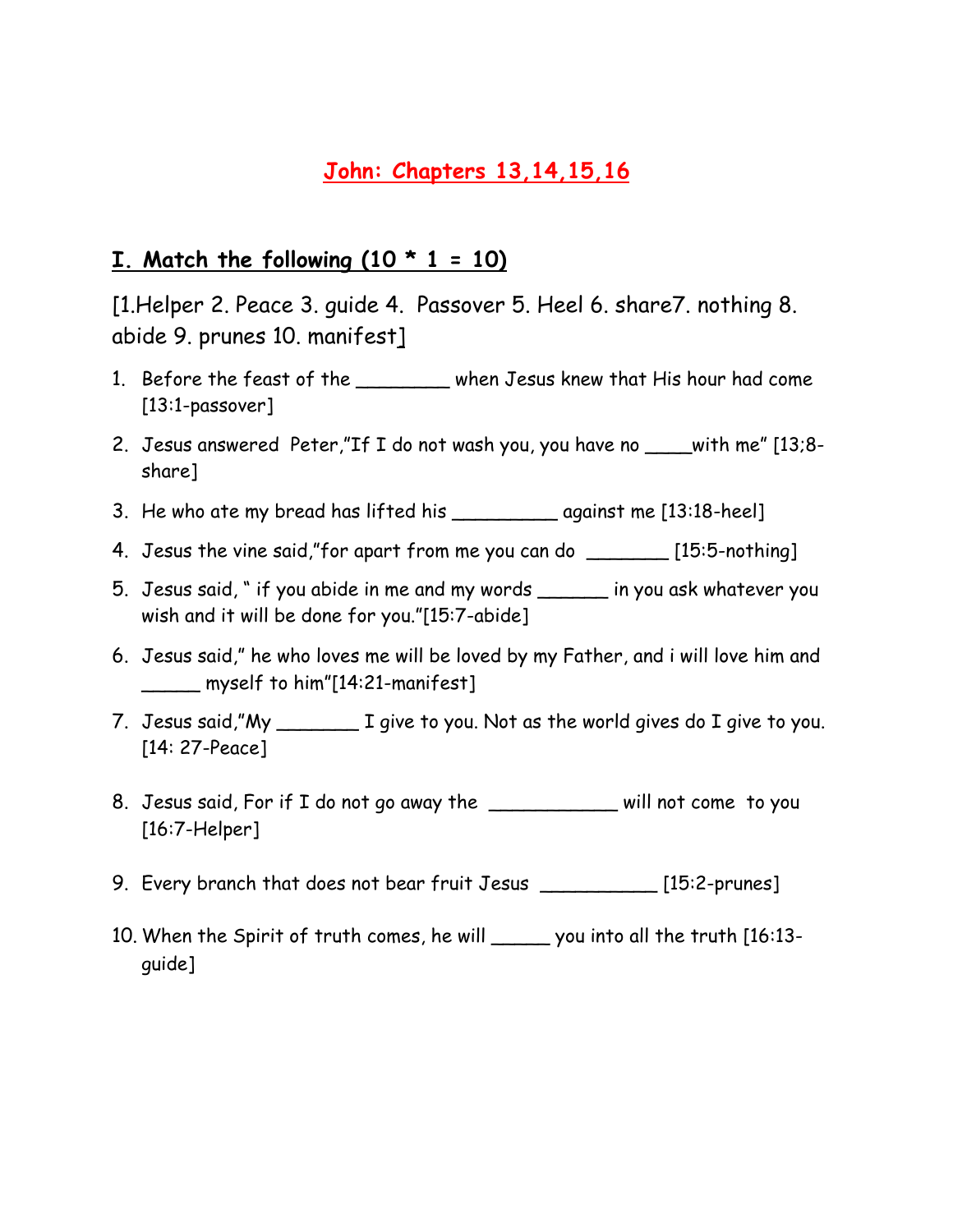# **John: Chapters 13,14,15,16**

### **I.** Match the following  $(10 * 1 = 10)$

[1.Helper 2. Peace 3. guide 4. Passover 5. Heel 6. share7. nothing 8. abide 9. prunes 10. manifest]

- 1. Before the feast of the \_\_\_\_\_\_\_ when Jesus knew that His hour had come [13:1-passover]
- 2. Jesus answered Peter,"If I do not wash you, you have no \_\_\_\_with me" [13;8 share]
- 3. He who ate my bread has lifted his \_\_\_\_\_\_\_\_\_ against me [13:18-heel]
- 4. Jesus the vine said,"for apart from me you can do \_\_\_\_\_\_\_ [15:5-nothing]
- 5. Jesus said, " if you abide in me and my words \_\_\_\_\_\_ in you ask whatever you wish and it will be done for you."[15:7-abide]
- 6. Jesus said," he who loves me will be loved by my Father, and i will love him and \_\_\_\_\_ myself to him"[14:21-manifest]
- 7. Jesus said,"My \_\_\_\_\_\_\_ I give to you. Not as the world gives do I give to you. [14: 27-Peace]
- 8. Jesus said, For if I do not go away the \_\_\_\_\_\_\_\_\_\_\_\_ will not come to you [16:7-Helper]
- 9. Every branch that does not bear fruit Jesus \_\_\_\_\_\_\_\_\_\_ [15:2-prunes]
- 10. When the Spirit of truth comes, he will \_\_\_\_\_ you into all the truth [16:13 guide]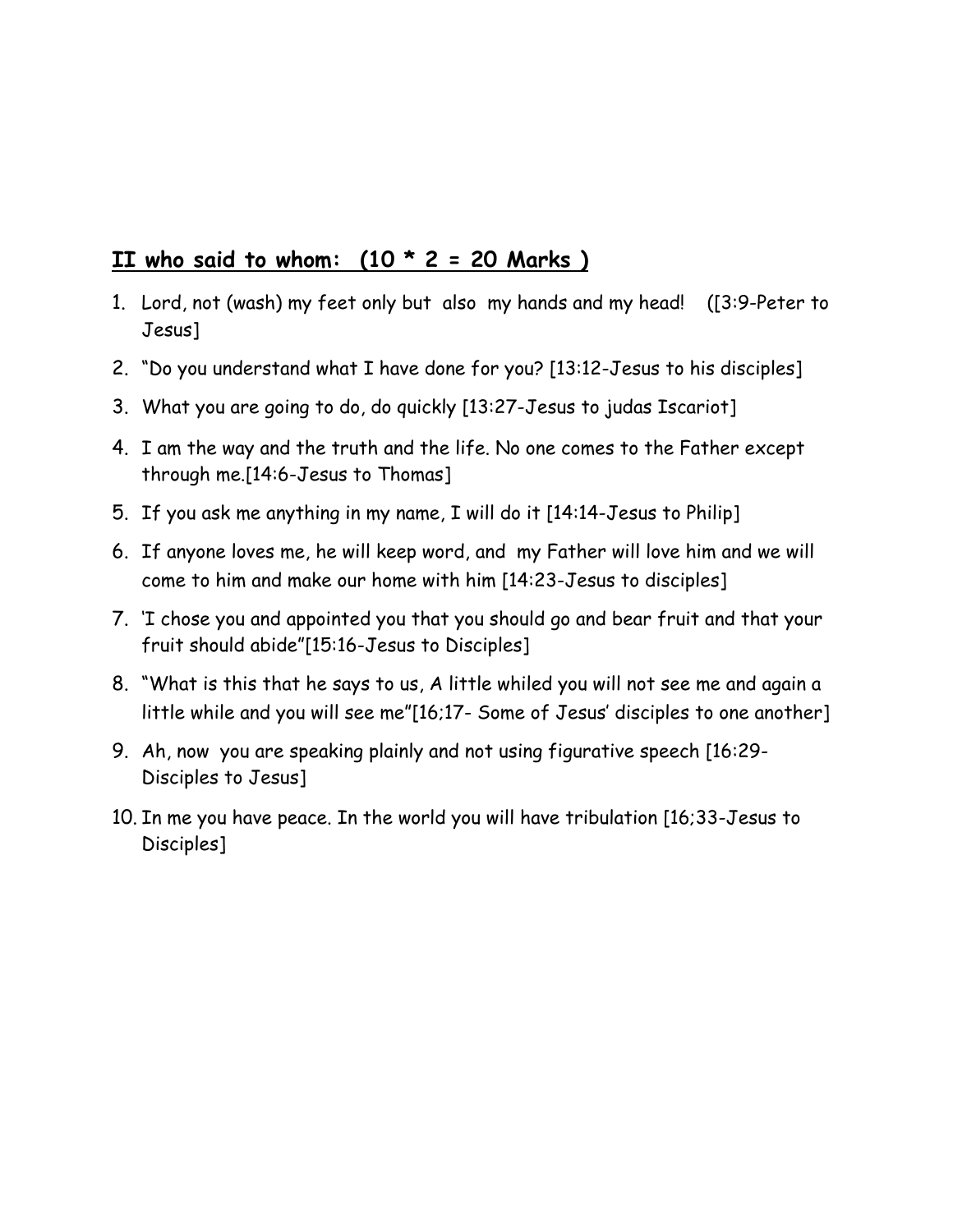### **II who said to whom: (10 \* 2 = 20 Marks )**

- 1. Lord, not (wash) my feet only but also my hands and my head! ([3:9-Peter to Jesus]
- 2. "Do you understand what I have done for you? [13:12-Jesus to his disciples]
- 3. What you are going to do, do quickly [13:27-Jesus to judas Iscariot]
- 4. I am the way and the truth and the life. No one comes to the Father except through me.[14:6-Jesus to Thomas]
- 5. If you ask me anything in my name, I will do it [14:14-Jesus to Philip]
- 6. If anyone loves me, he will keep word, and my Father will love him and we will come to him and make our home with him [14:23-Jesus to disciples]
- 7. 'I chose you and appointed you that you should go and bear fruit and that your fruit should abide"[15:16-Jesus to Disciples]
- 8. "What is this that he says to us, A little whiled you will not see me and again a little while and you will see me"[16;17- Some of Jesus' disciples to one another]
- 9. Ah, now you are speaking plainly and not using figurative speech [16:29- Disciples to Jesus]
- 10. In me you have peace. In the world you will have tribulation [16;33-Jesus to Disciples]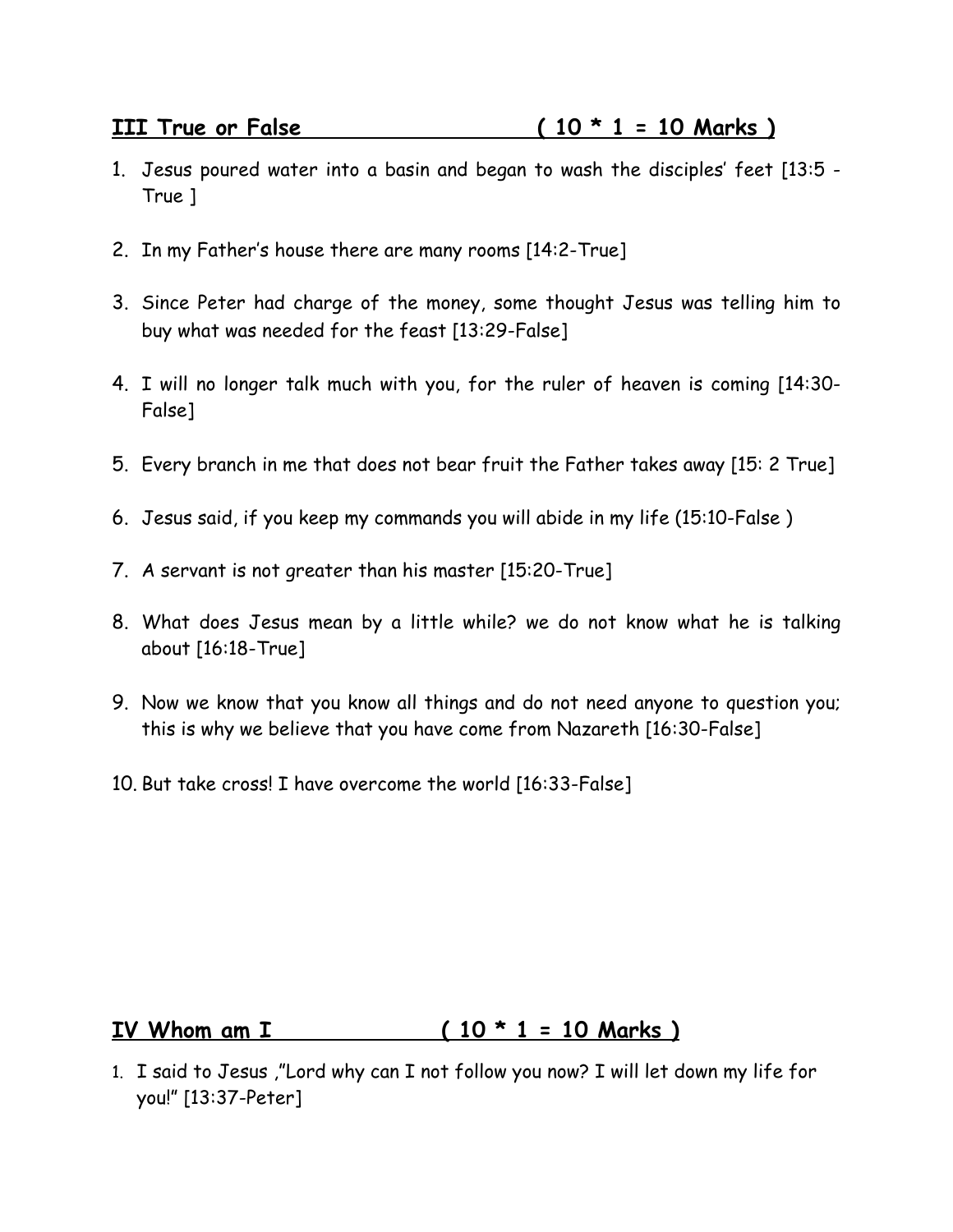- 1. Jesus poured water into a basin and began to wash the disciples' feet [13:5 True ]
- 2. In my Father's house there are many rooms [14:2-True]
- 3. Since Peter had charge of the money, some thought Jesus was telling him to buy what was needed for the feast [13:29-False]
- 4. I will no longer talk much with you, for the ruler of heaven is coming [14:30- False]
- 5. Every branch in me that does not bear fruit the Father takes away [15: 2 True]
- 6. Jesus said, if you keep my commands you will abide in my life (15:10-False )
- 7. A servant is not greater than his master [15:20-True]
- 8. What does Jesus mean by a little while? we do not know what he is talking about [16:18-True]
- 9. Now we know that you know all things and do not need anyone to question you; this is why we believe that you have come from Nazareth [16:30-False]
- 10. But take cross! I have overcome the world [16:33-False]

# **IV Whom am I ( 10 \* 1 = 10 Marks )**

1. I said to Jesus ,"Lord why can I not follow you now? I will let down my life for you!" [13:37-Peter]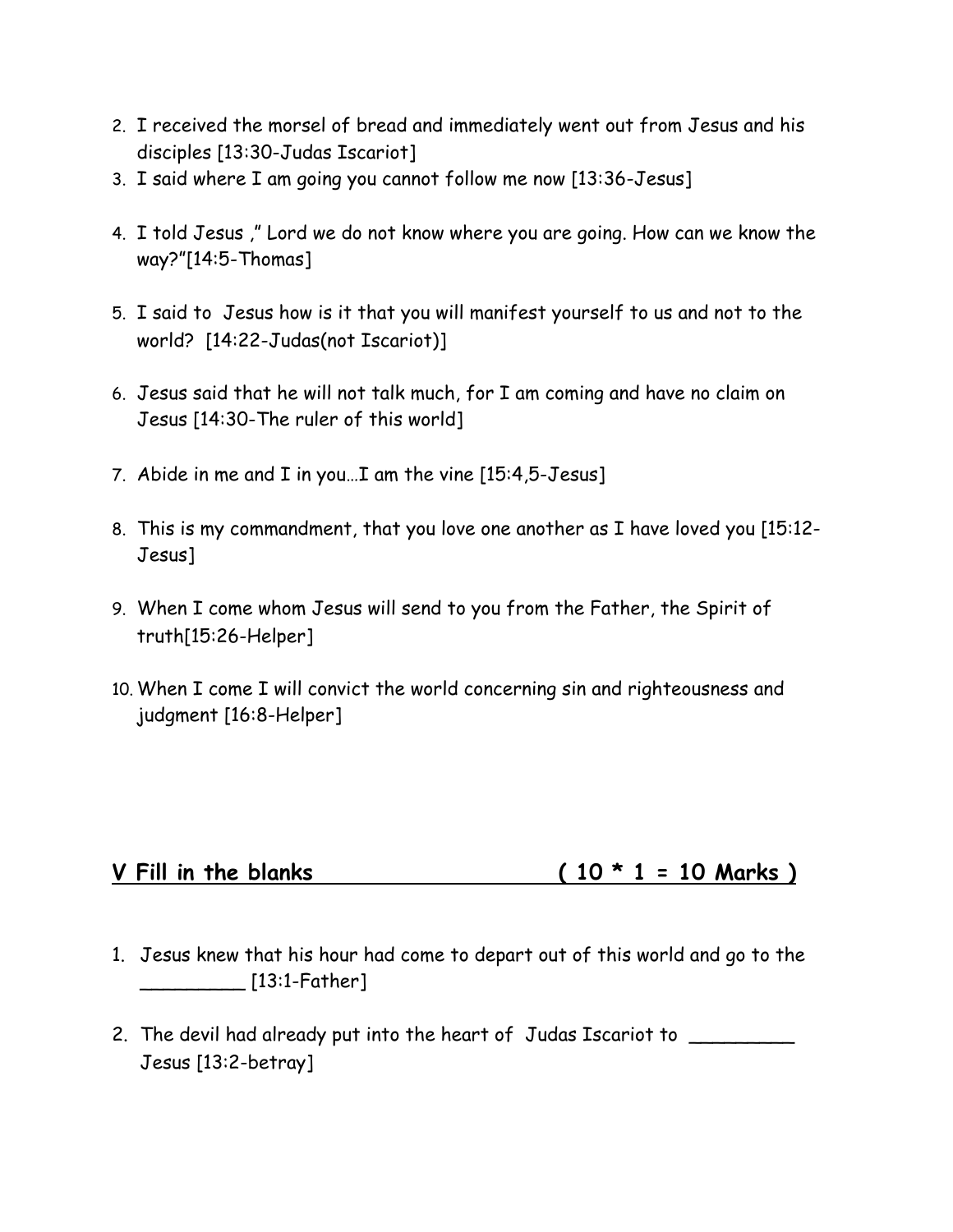- 2. I received the morsel of bread and immediately went out from Jesus and his disciples [13:30-Judas Iscariot]
- 3. I said where I am going you cannot follow me now [13:36-Jesus]
- 4. I told Jesus ," Lord we do not know where you are going. How can we know the way?"[14:5-Thomas]
- 5. I said to Jesus how is it that you will manifest yourself to us and not to the world? [14:22-Judas(not Iscariot)]
- 6. Jesus said that he will not talk much, for I am coming and have no claim on Jesus [14:30-The ruler of this world]
- 7. Abide in me and I in you…I am the vine [15:4,5-Jesus]
- 8. This is my commandment, that you love one another as I have loved you [15:12- Jesus]
- 9. When I come whom Jesus will send to you from the Father, the Spirit of truth[15:26-Helper]
- 10. When I come I will convict the world concerning sin and righteousness and judgment [16:8-Helper]

# **V Fill in the blanks ( 10 \* 1 = 10 Marks )**

- 1. Jesus knew that his hour had come to depart out of this world and go to the \_\_\_\_\_\_\_\_\_ [13:1-Father]
- 2. The devil had already put into the heart of Judas Iscariot to **was all the contract of the system** Jesus [13:2-betray]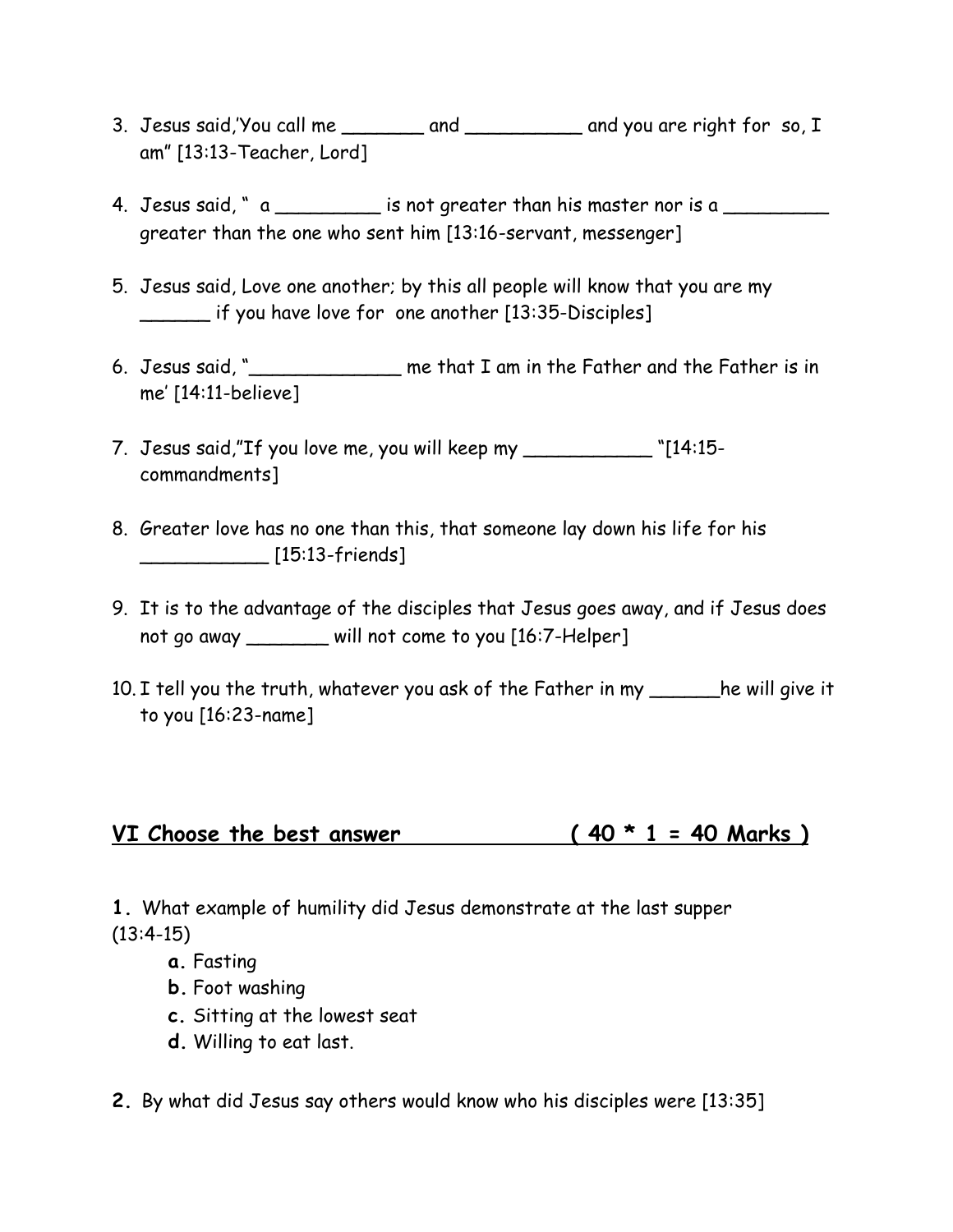- 3. Jesus said,'You call me \_\_\_\_\_\_\_ and \_\_\_\_\_\_\_\_\_\_ and you are right for so, I am" [13:13-Teacher, Lord]
- 4. Jesus said, " a \_\_\_\_\_\_\_\_\_\_ is not greater than his master nor is a greater than the one who sent him [13:16-servant, messenger]
- 5. Jesus said, Love one another; by this all people will know that you are my \_\_\_\_\_\_ if you have love for one another [13:35-Disciples]
- 6. Jesus said, "\_\_\_\_\_\_\_\_\_\_\_\_\_ me that I am in the Father and the Father is in me' [14:11-believe]
- 7. Jesus said,"If you love me, you will keep my \_\_\_\_\_\_\_\_\_\_\_ "[14:15 commandments]
- 8. Greater love has no one than this, that someone lay down his life for his \_\_\_\_\_\_\_\_\_\_\_ [15:13-friends]
- 9. It is to the advantage of the disciples that Jesus goes away, and if Jesus does not go away \_\_\_\_\_\_\_ will not come to you [16:7-Helper]
- 10. I tell you the truth, whatever you ask of the Father in my \_\_\_\_\_\_he will give it to you [16:23-name]

### VI Choose the best answer  $(40 * 1 = 40$  Marks)

**1.** What example of humility did Jesus demonstrate at the last supper  $(13:4-15)$ 

- **a.** Fasting
- **b.** Foot washing
- **c.** Sitting at the lowest seat
- **d.** Willing to eat last.
- **2.** By what did Jesus say others would know who his disciples were [13:35]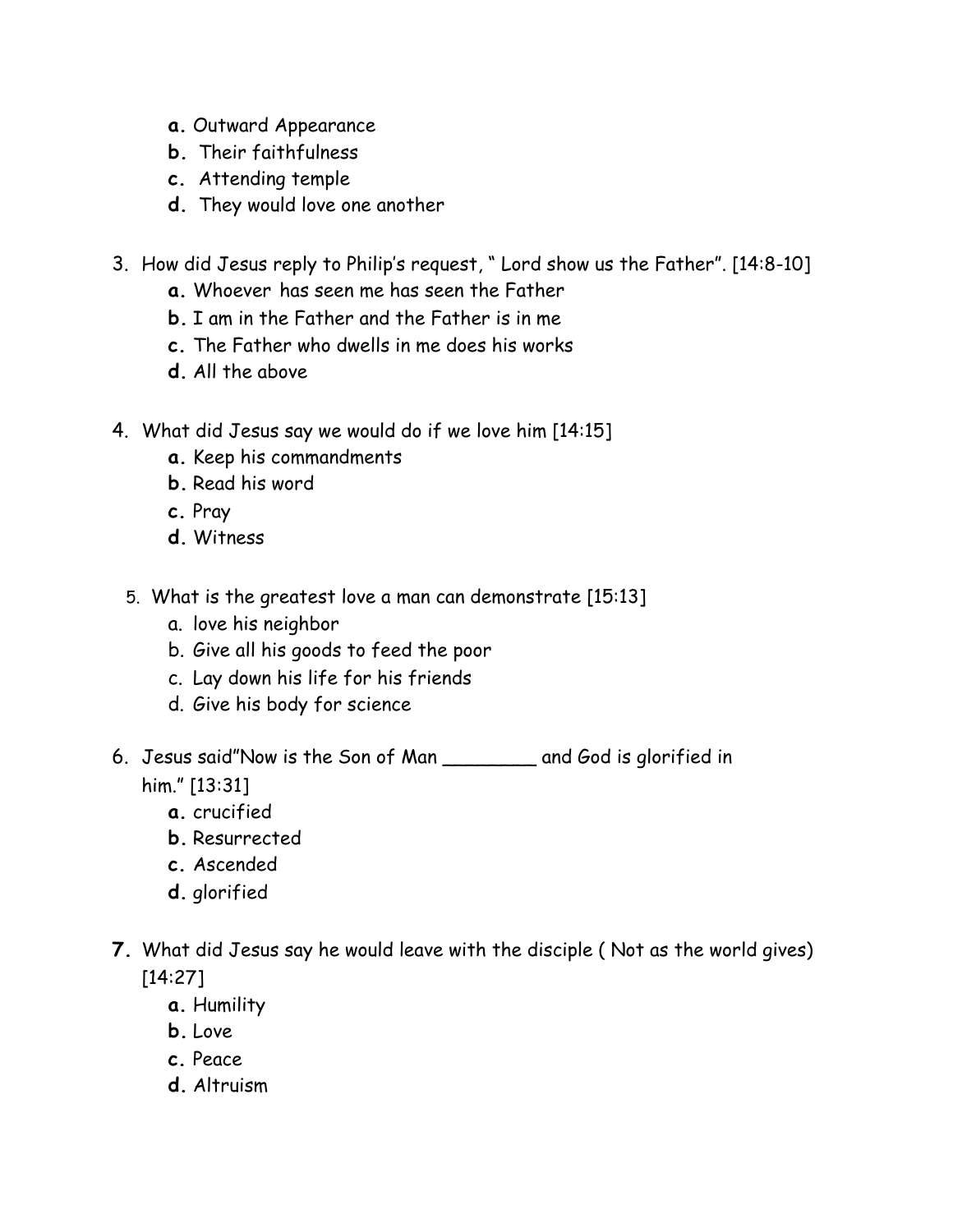- **a.** Outward Appearance
- **b.** Their faithfulness
- **c.** Attending temple
- **d.** They would love one another
- 3. How did Jesus reply to Philip's request, " Lord show us the Father". [14:8-10]
	- **a.** Whoever has seen me has seen the Father
	- **b.** I am in the Father and the Father is in me
	- **c.** The Father who dwells in me does his works
	- **d.** All the above
- 4. What did Jesus say we would do if we love him [14:15]
	- **a.** Keep his commandments
	- **b.** Read his word
	- **c.** Pray
	- **d.** Witness
	- 5. What is the greatest love a man can demonstrate [15:13]
		- a. love his neighbor
		- b. Give all his goods to feed the poor
		- c. Lay down his life for his friends
		- d. Give his body for science
- 6. Jesus said"Now is the Son of Man \_\_\_\_\_\_\_\_ and God is glorified in him." [13:31]
	- **a.** crucified
	- **b.** Resurrected
	- **c.** Ascended
	- **d.** glorified
- **7.** What did Jesus say he would leave with the disciple ( Not as the world gives) [14:27]
	- **a.** Humility
	- **b.** Love
	- **c.** Peace
	- **d.** Altruism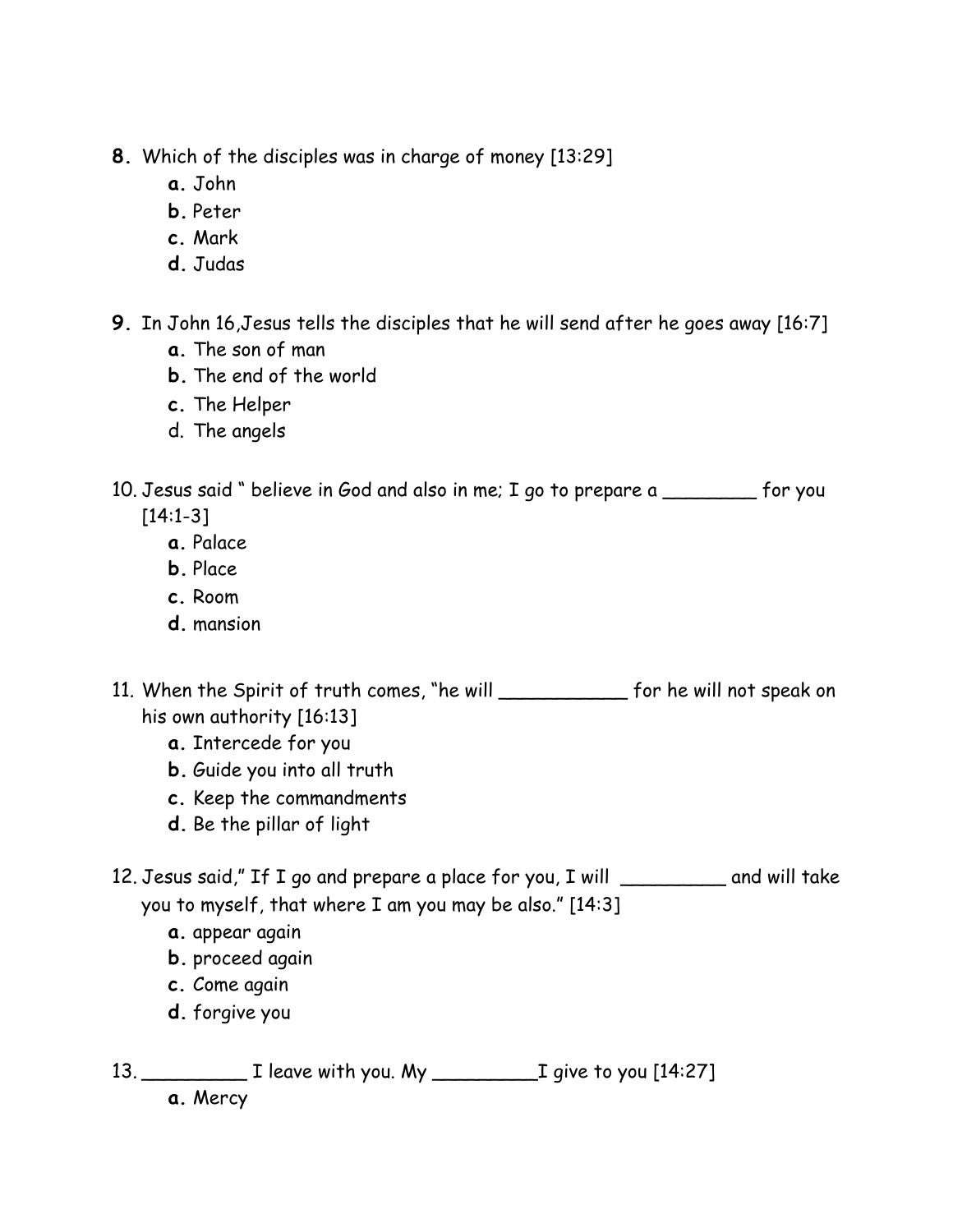- **8.** Which of the disciples was in charge of money [13:29]
	- **a.** John
	- **b.** Peter
	- **c.** Mark
	- **d.** Judas
- **9.** In John 16,Jesus tells the disciples that he will send after he goes away [16:7]
	- **a.** The son of man
	- **b.** The end of the world
	- **c.** The Helper
	- d. The angels
- 10. Jesus said " believe in God and also in me; I go to prepare a \_\_\_\_\_\_\_\_ for you [14:1-3]
	- **a.** Palace
	- **b.** Place
	- **c.** Room
	- **d.** mansion
- 11. When the Spirit of truth comes, "he will \_\_\_\_\_\_\_\_\_\_\_ for he will not speak on his own authority [16:13]
	- **a.** Intercede for you
	- **b.** Guide you into all truth
	- **c.** Keep the commandments
	- **d.** Be the pillar of light
- 12. Jesus said," If I go and prepare a place for you, I will \_\_\_\_\_\_\_\_\_ and will take you to myself, that where I am you may be also." [14:3]
	- **a.** appear again
	- **b.** proceed again
	- **c.** Come again
	- **d.** forgive you
- 13. \_\_\_\_\_\_\_\_\_ I leave with you. My \_\_\_\_\_\_\_\_\_I give to you [14:27]

**a.** Mercy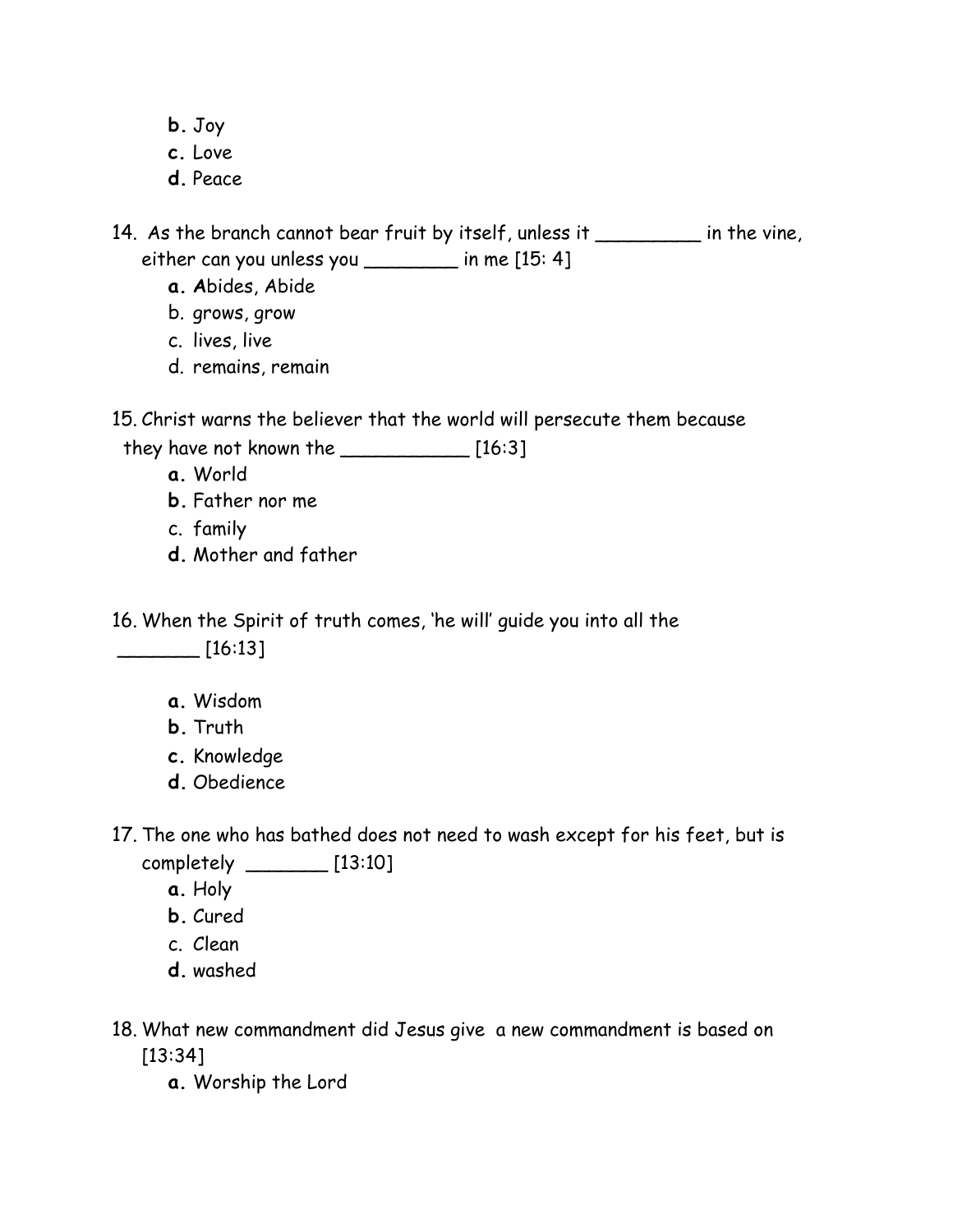- **b.** Joy
- **c.** Love
- **d.** Peace

14. As the branch cannot bear fruit by itself, unless it \_\_\_\_\_\_\_\_\_ in the vine, either can you unless you \_\_\_\_\_\_\_\_ in me [15: 4]

- **a. A**bides, Abide
- b. grows, grow
- c. lives, live
- d. remains, remain

15. Christ warns the believer that the world will persecute them because

they have not known the \_\_\_\_\_\_\_\_\_\_\_ [16:3]

- **a.** World
- **b.** Father nor me
- c. family
- **d.** Mother and father

16. When the Spirit of truth comes, 'he will' guide you into all the  $\boxed{16:13}$ 

- **a.** Wisdom
- **b.** Truth
- **c.** Knowledge
- **d.** Obedience
- 17. The one who has bathed does not need to wash except for his feet, but is completely \_\_\_\_\_\_\_ [13:10]
	- **a.** Holy
	- **b.** Cured
	- c. Clean
	- **d.** washed
- 18. What new commandment did Jesus give a new commandment is based on [13:34]
	- **a.** Worship the Lord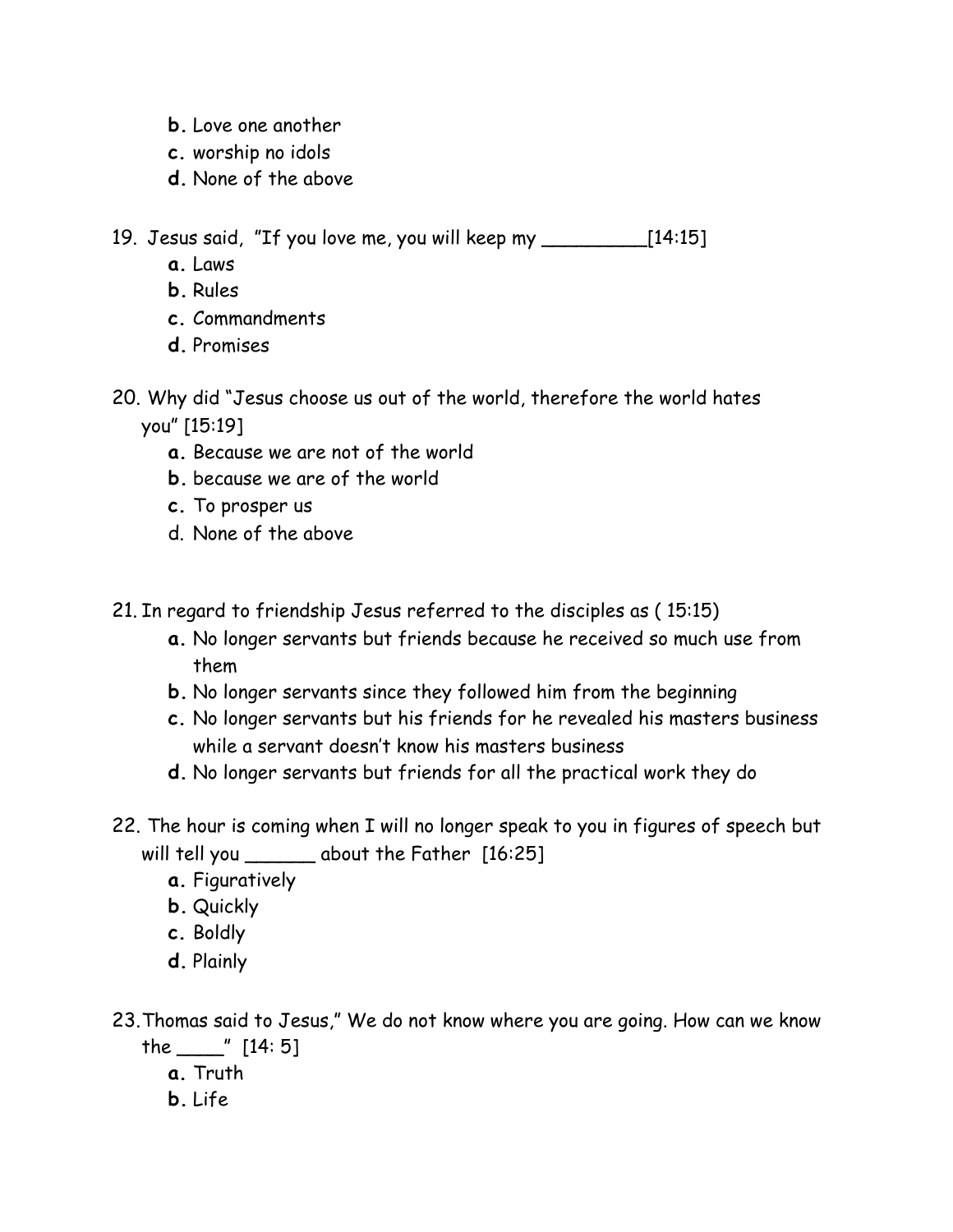- **b.** Love one another
- **c.** worship no idols
- **d.** None of the above

19. Jesus said, "If you love me, you will keep my \_\_\_\_\_\_\_\_\_[14:15]

- **a.** Laws
- **b.** Rules
- **c.** Commandments
- **d.** Promises
- 20. Why did "Jesus choose us out of the world, therefore the world hates you" [15:19]
	- **a.** Because we are not of the world
	- **b.** because we are of the world
	- **c.** To prosper us
	- d. None of the above
- 21. In regard to friendship Jesus referred to the disciples as ( 15:15)
	- **a.** No longer servants but friends because he received so much use from them
	- **b.** No longer servants since they followed him from the beginning
	- **c.** No longer servants but his friends for he revealed his masters business while a servant doesn't know his masters business
	- **d.** No longer servants but friends for all the practical work they do
- 22. The hour is coming when I will no longer speak to you in figures of speech but will tell you \_\_\_\_\_\_\_ about the Father [16:25]
	- **a.** Figuratively
	- **b.** Quickly
	- **c.** Boldly
	- **d.** Plainly
- 23.Thomas said to Jesus," We do not know where you are going. How can we know the \_\_\_\_" [14: 5]
	- **a.** Truth
	- **b.** Life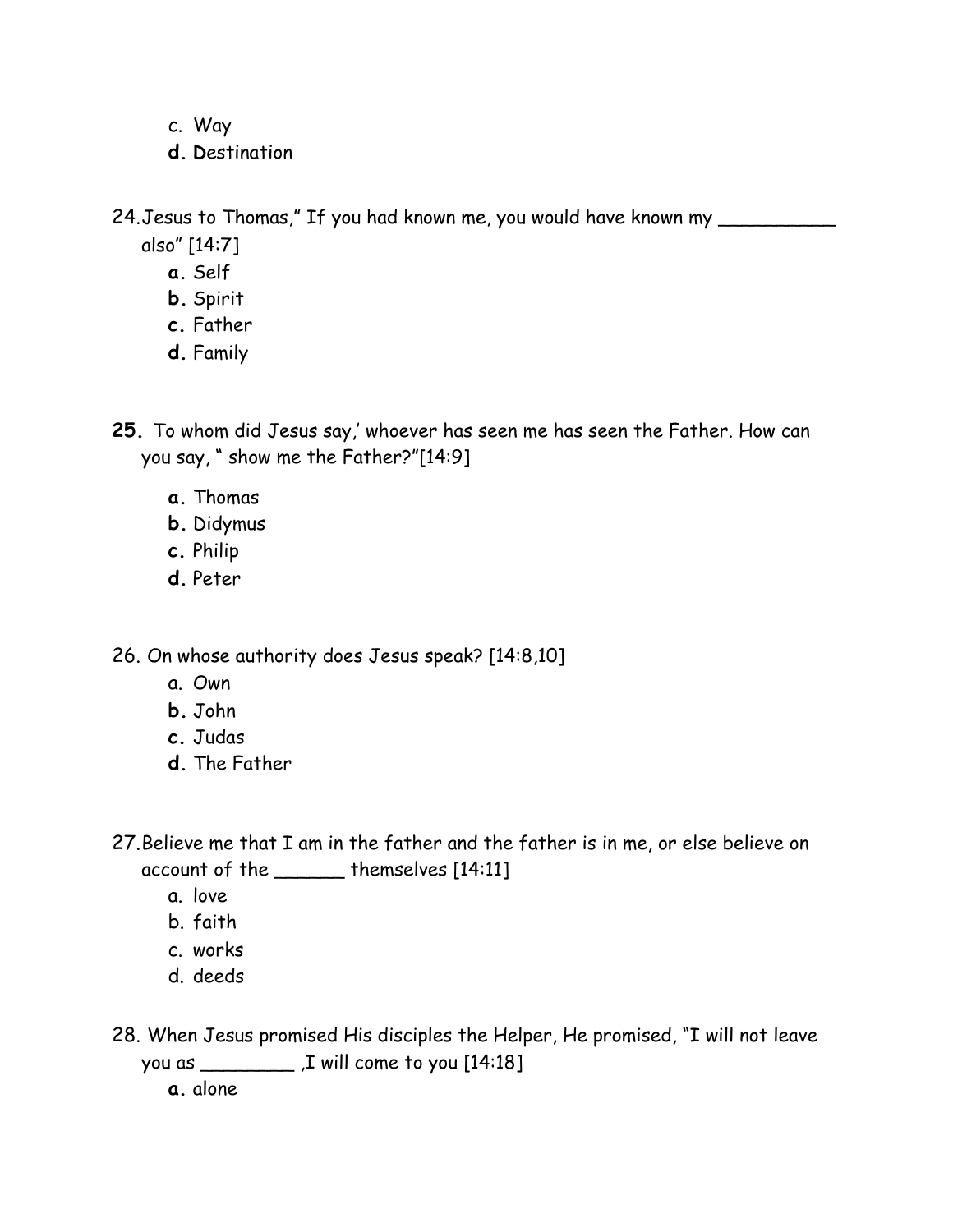- c. Way
- **d. D**estination

24. Jesus to Thomas," If you had known me, you would have known my

- also" [14:7]
	- **a.** Self
	- **b.** Spirit
	- **c.** Father
	- **d.** Family

**25.** To whom did Jesus say,' whoever has seen me has seen the Father. How can you say, " show me the Father?"[14:9]

- **a.** Thomas
- **b.** Didymus
- **c.** Philip
- **d.** Peter

26. On whose authority does Jesus speak? [14:8,10]

- a. Own
- **b.** John
- **c.** Judas
- **d.** The Father

27.Believe me that I am in the father and the father is in me, or else believe on account of the \_\_\_\_\_\_ themselves [14:11]

- a. love
- b. faith
- c. works
- d. deeds
- 28. When Jesus promised His disciples the Helper, He promised, "I will not leave you as \_\_\_\_\_\_\_\_ ,I will come to you [14:18]

**a.** alone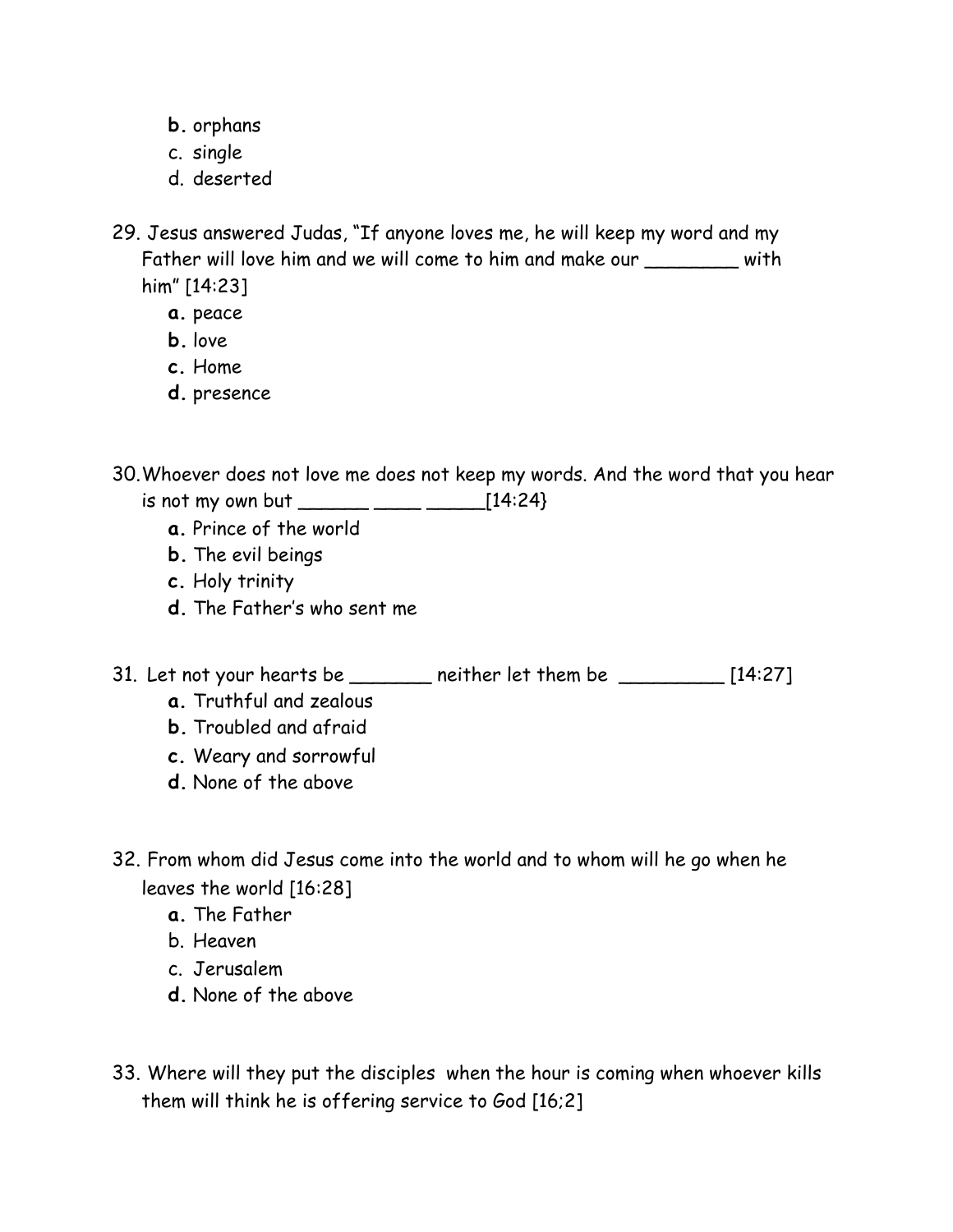- **b.** orphans
- c. single
- d. deserted
- 29. Jesus answered Judas, "If anyone loves me, he will keep my word and my Father will love him and we will come to him and make our \_\_\_\_\_\_\_ with him" [14:23]
	- **a.** peace
	- **b.** love
	- **c.** Home
	- **d.** presence

30.Whoever does not love me does not keep my words. And the word that you hear is not my own but \_\_\_\_\_\_ \_\_\_\_ \_\_\_\_\_[14:24}

- **a.** Prince of the world
- **b.** The evil beings
- **c.** Holy trinity
- **d.** The Father's who sent me
- 31. Let not your hearts be  $\frac{1}{2}$  neither let them be  $\frac{1}{2}$  [14:27]
	- **a.** Truthful and zealous
	- **b.** Troubled and afraid
	- **c.** Weary and sorrowful
	- **d.** None of the above
- 32. From whom did Jesus come into the world and to whom will he go when he leaves the world [16:28]
	- **a.** The Father
	- b. Heaven
	- c. Jerusalem
	- **d.** None of the above
- 33. Where will they put the disciples when the hour is coming when whoever kills them will think he is offering service to God [16;2]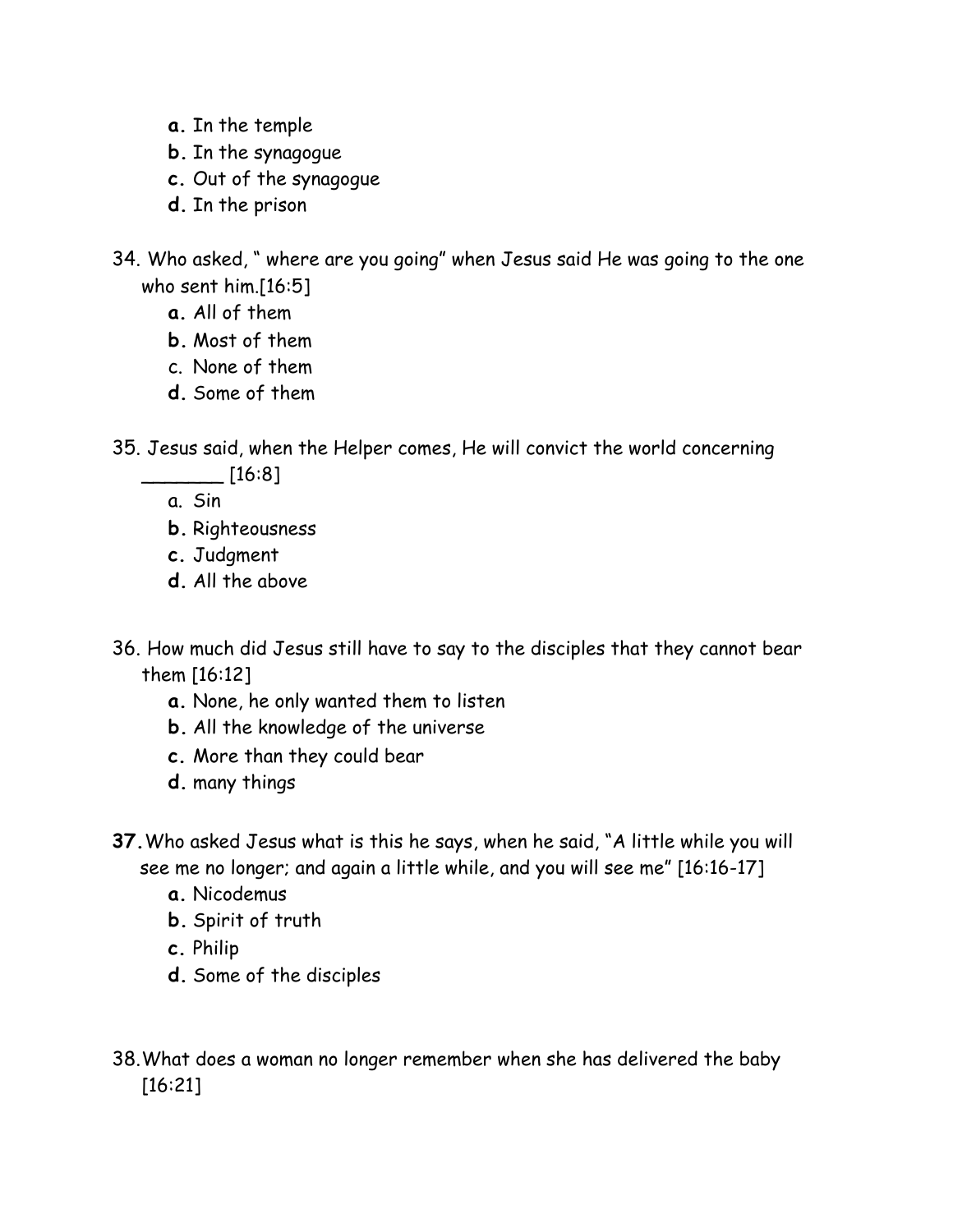- **a.** In the temple
- **b.** In the synagogue
- **c.** Out of the synagogue
- **d.** In the prison
- 34. Who asked, " where are you going" when Jesus said He was going to the one who sent him.[16:5]
	- **a.** All of them
	- **b.** Most of them
	- c. None of them
	- **d.** Some of them
- 35. Jesus said, when the Helper comes, He will convict the world concerning

 $\_$  [16:8]

a. Sin

- **b.** Righteousness
- **c.** Judgment
- **d.** All the above
- 36. How much did Jesus still have to say to the disciples that they cannot bear them [16:12]
	- **a.** None, he only wanted them to listen
	- **b.** All the knowledge of the universe
	- **c.** More than they could bear
	- **d.** many things
- **37.**Who asked Jesus what is this he says, when he said, "A little while you will see me no longer; and again a little while, and you will see me" [16:16-17]
	- **a.** Nicodemus
	- **b.** Spirit of truth
	- **c.** Philip
	- **d.** Some of the disciples
- 38.What does a woman no longer remember when she has delivered the baby [16:21]